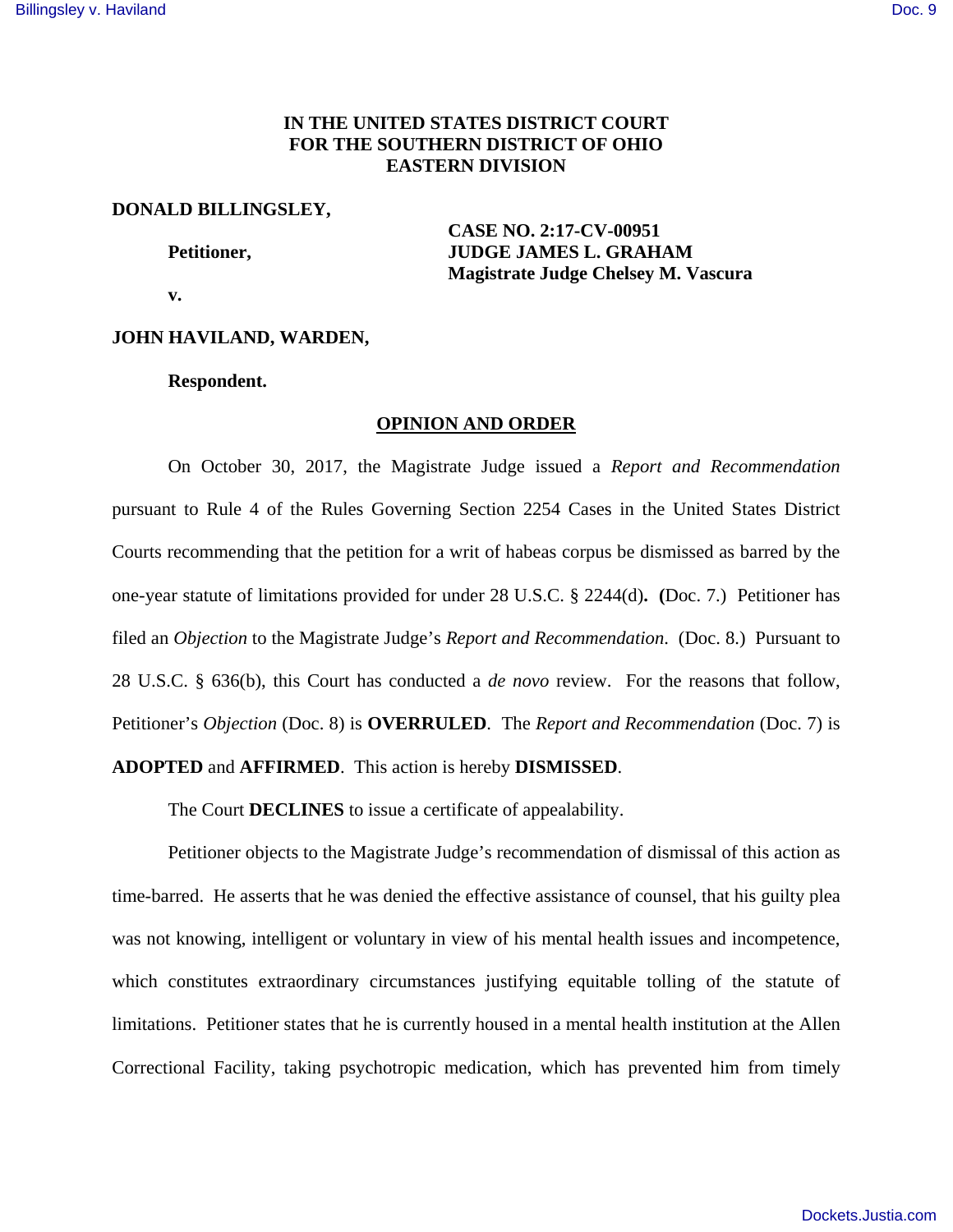# **IN THE UNITED STATES DISTRICT COURT FOR THE SOUTHERN DISTRICT OF OHIO EASTERN DIVISION**

### **DONALD BILLINGSLEY,**

 **CASE NO. 2:17-CV-00951 Petitioner, Settlem Budget Strategy ATT STRAGE JAMES L. GRAHAM Magistrate Judge Chelsey M. Vascura** 

 **v.** 

### **JOHN HAVILAND, WARDEN,**

#### **Respondent.**

## **OPINION AND ORDER**

 On October 30, 2017, the Magistrate Judge issued a *Report and Recommendation* pursuant to Rule 4 of the Rules Governing Section 2254 Cases in the United States District Courts recommending that the petition for a writ of habeas corpus be dismissed as barred by the one-year statute of limitations provided for under 28 U.S.C. § 2244(d)**. (**Doc. 7.) Petitioner has filed an *Objection* to the Magistrate Judge's *Report and Recommendation*. (Doc. 8.) Pursuant to 28 U.S.C. § 636(b), this Court has conducted a *de novo* review. For the reasons that follow, Petitioner's *Objection* (Doc. 8) is **OVERRULED**. The *Report and Recommendation* (Doc. 7) is **ADOPTED** and **AFFIRMED**. This action is hereby **DISMISSED**.

The Court **DECLINES** to issue a certificate of appealability.

 Petitioner objects to the Magistrate Judge's recommendation of dismissal of this action as time-barred. He asserts that he was denied the effective assistance of counsel, that his guilty plea was not knowing, intelligent or voluntary in view of his mental health issues and incompetence, which constitutes extraordinary circumstances justifying equitable tolling of the statute of limitations. Petitioner states that he is currently housed in a mental health institution at the Allen Correctional Facility, taking psychotropic medication, which has prevented him from timely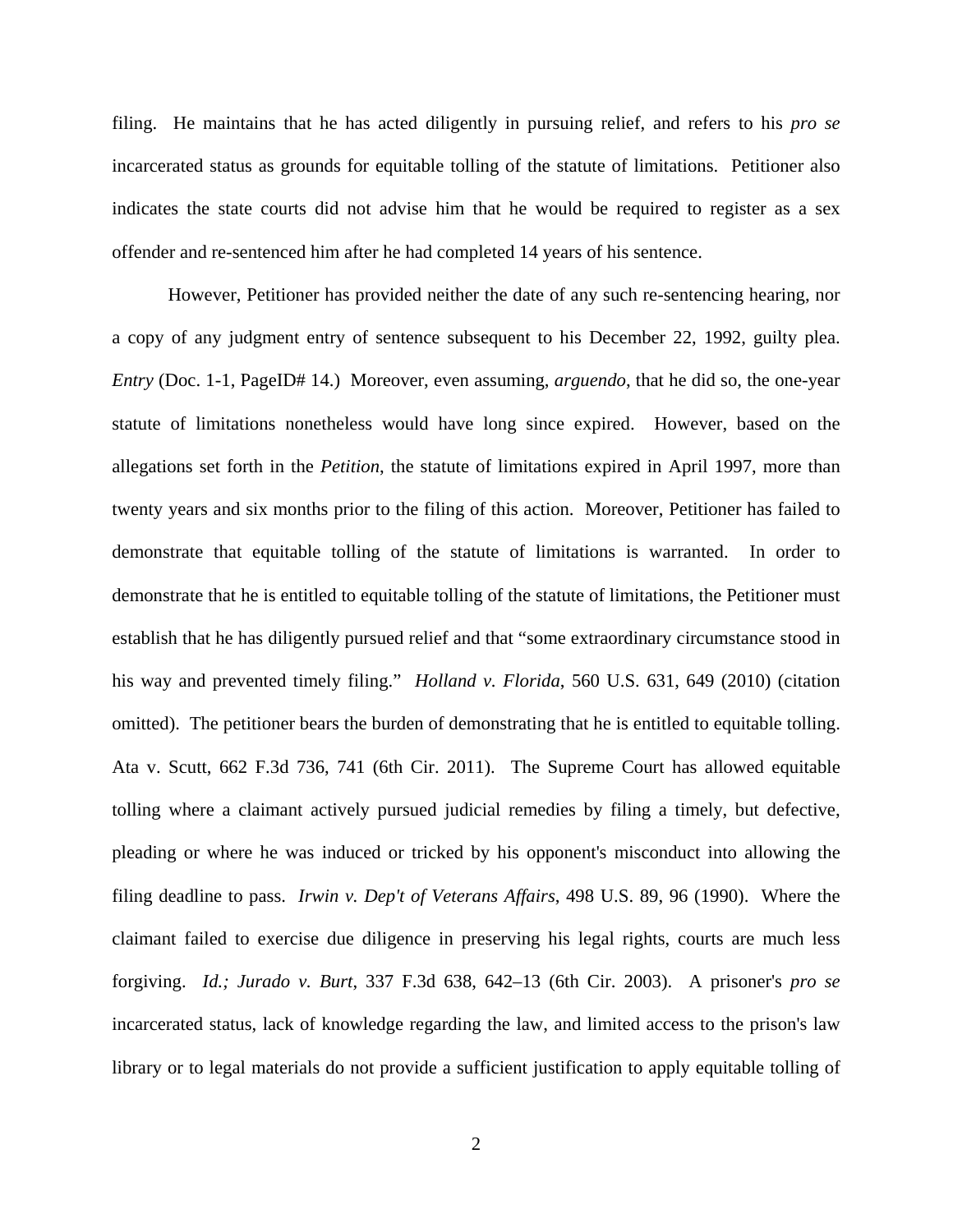filing. He maintains that he has acted diligently in pursuing relief, and refers to his *pro se* incarcerated status as grounds for equitable tolling of the statute of limitations. Petitioner also indicates the state courts did not advise him that he would be required to register as a sex offender and re-sentenced him after he had completed 14 years of his sentence.

 However, Petitioner has provided neither the date of any such re-sentencing hearing, nor a copy of any judgment entry of sentence subsequent to his December 22, 1992, guilty plea. *Entry* (Doc. 1-1, PageID# 14.) Moreover, even assuming, *arguendo*, that he did so, the one-year statute of limitations nonetheless would have long since expired. However, based on the allegations set forth in the *Petition*, the statute of limitations expired in April 1997, more than twenty years and six months prior to the filing of this action. Moreover, Petitioner has failed to demonstrate that equitable tolling of the statute of limitations is warranted. In order to demonstrate that he is entitled to equitable tolling of the statute of limitations, the Petitioner must establish that he has diligently pursued relief and that "some extraordinary circumstance stood in his way and prevented timely filing." *Holland v. Florida*, 560 U.S. 631, 649 (2010) (citation omitted). The petitioner bears the burden of demonstrating that he is entitled to equitable tolling. Ata v. Scutt, 662 F.3d 736, 741 (6th Cir. 2011). The Supreme Court has allowed equitable tolling where a claimant actively pursued judicial remedies by filing a timely, but defective, pleading or where he was induced or tricked by his opponent's misconduct into allowing the filing deadline to pass. *Irwin v. Dep't of Veterans Affairs*, 498 U.S. 89, 96 (1990). Where the claimant failed to exercise due diligence in preserving his legal rights, courts are much less forgiving. *Id.; Jurado v. Burt*, 337 F.3d 638, 642–13 (6th Cir. 2003). A prisoner's *pro se* incarcerated status, lack of knowledge regarding the law, and limited access to the prison's law library or to legal materials do not provide a sufficient justification to apply equitable tolling of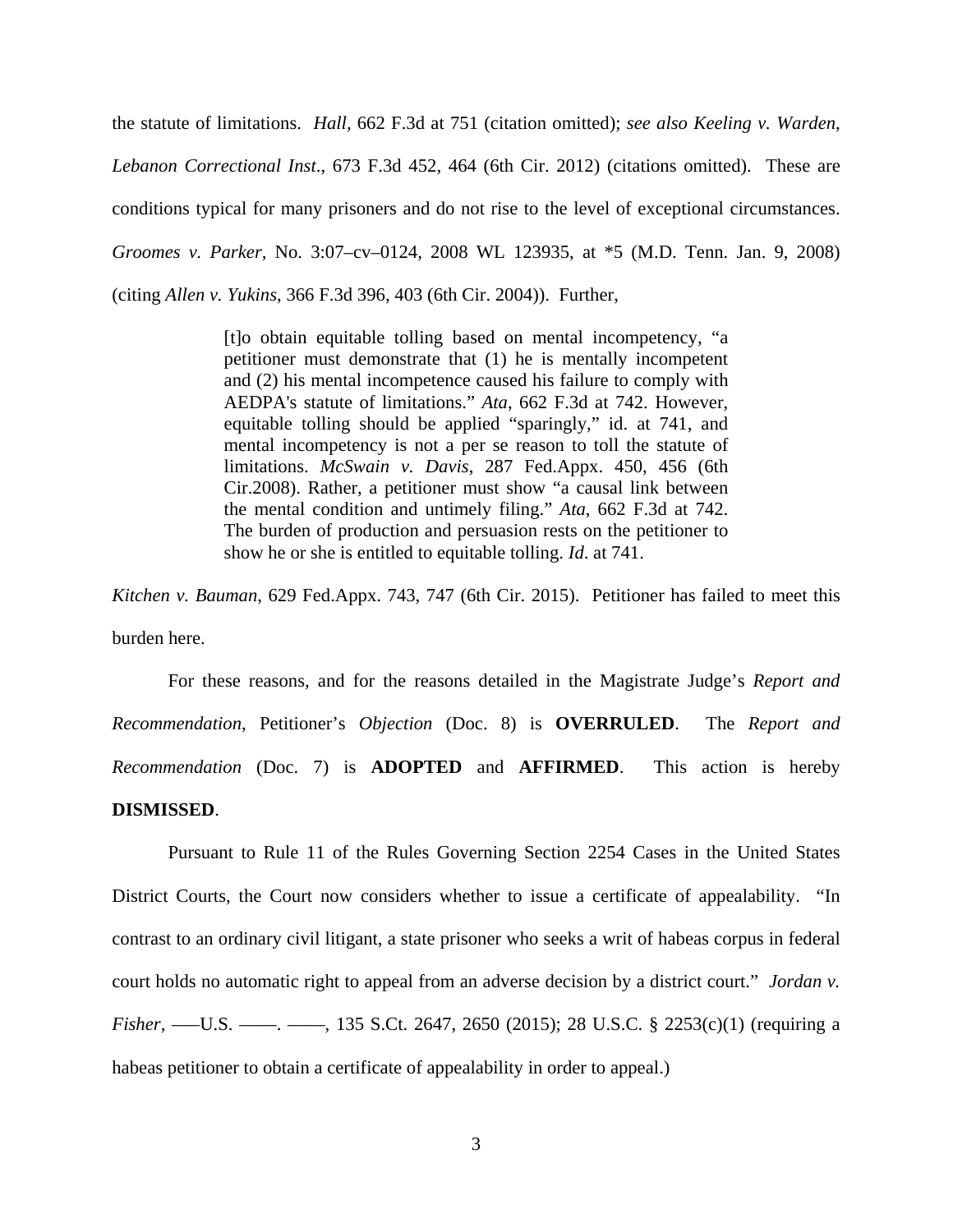the statute of limitations. *Hall,* 662 F.3d at 751 (citation omitted); *see also Keeling v. Warden*, *Lebanon Correctional Inst*., 673 F.3d 452, 464 (6th Cir. 2012) (citations omitted). These are conditions typical for many prisoners and do not rise to the level of exceptional circumstances. *Groomes v. Parker,* No. 3:07–cv–0124, 2008 WL 123935, at \*5 (M.D. Tenn. Jan. 9, 2008) (citing *Allen v. Yukins*, 366 F.3d 396, 403 (6th Cir. 2004)). Further,

> [t]o obtain equitable tolling based on mental incompetency, "a petitioner must demonstrate that (1) he is mentally incompetent and (2) his mental incompetence caused his failure to comply with AEDPA's statute of limitations." *Ata*, 662 F.3d at 742. However, equitable tolling should be applied "sparingly," id. at 741, and mental incompetency is not a per se reason to toll the statute of limitations. *McSwain v. Davis*, 287 Fed.Appx. 450, 456 (6th Cir.2008). Rather, a petitioner must show "a causal link between the mental condition and untimely filing." *Ata*, 662 F.3d at 742. The burden of production and persuasion rests on the petitioner to show he or she is entitled to equitable tolling. *Id*. at 741.

*Kitchen v. Bauman*, 629 Fed.Appx. 743, 747 (6th Cir. 2015). Petitioner has failed to meet this burden here.

 For these reasons, and for the reasons detailed in the Magistrate Judge's *Report and Recommendation*, Petitioner's *Objection* (Doc. 8) is **OVERRULED**. The *Report and Recommendation* (Doc. 7) is **ADOPTED** and **AFFIRMED**. This action is hereby **DISMISSED**.

Pursuant to Rule 11 of the Rules Governing Section 2254 Cases in the United States District Courts, the Court now considers whether to issue a certificate of appealability. "In contrast to an ordinary civil litigant, a state prisoner who seeks a writ of habeas corpus in federal court holds no automatic right to appeal from an adverse decision by a district court." *Jordan v. Fisher,* ——U.S. ——, ——, 135 S.Ct. 2647, 2650 (2015); 28 U.S.C. § 2253(c)(1) (requiring a habeas petitioner to obtain a certificate of appealability in order to appeal.)